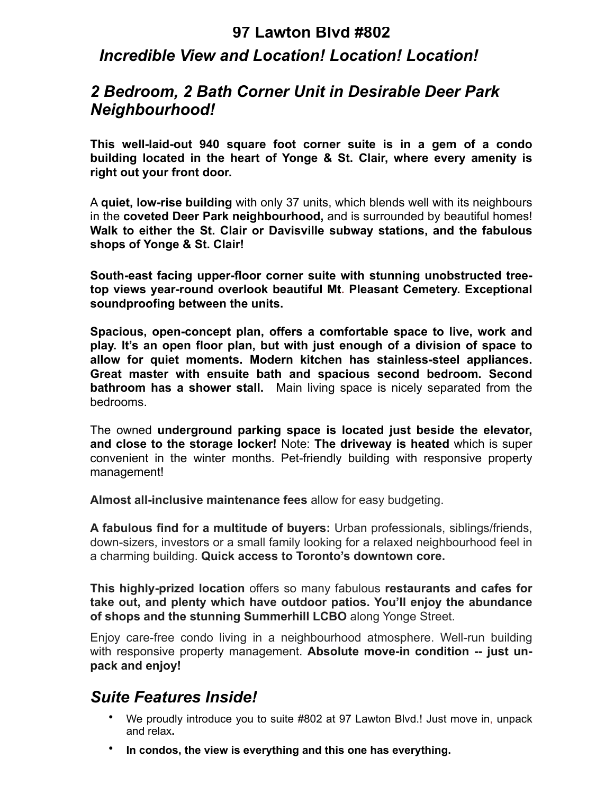#### **97 Lawton Blvd #802**

## *Incredible View and Location! Location! Location!*

## *2 Bedroom, 2 Bath Corner Unit in Desirable Deer Park Neighbourhood!*

**This well-laid-out 940 square foot corner suite is in a gem of a condo building located in the heart of Yonge & St. Clair, where every amenity is right out your front door.** 

A **quiet, low-rise building** with only 37 units, which blends well with its neighbours in the **coveted Deer Park neighbourhood,** and is surrounded by beautiful homes! **Walk to either the St. Clair or Davisville subway stations, and the fabulous shops of Yonge & St. Clair!** 

**South-east facing upper-floor corner suite with stunning unobstructed treetop views year-round overlook beautiful Mt. Pleasant Cemetery. Exceptional soundproofing between the units.** 

**Spacious, open-concept plan, offers a comfortable space to live, work and play. It's an open floor plan, but with just enough of a division of space to allow for quiet moments. Modern kitchen has stainless-steel appliances. Great master with ensuite bath and spacious second bedroom. Second bathroom has a shower stall.** Main living space is nicely separated from the bedrooms.

The owned **underground parking space is located just beside the elevator, and close to the storage locker!** Note: **The driveway is heated** which is super convenient in the winter months. Pet-friendly building with responsive property management!

**Almost all-inclusive maintenance fees** allow for easy budgeting.

**A fabulous find for a multitude of buyers:** Urban professionals, siblings/friends, down-sizers, investors or a small family looking for a relaxed neighbourhood feel in a charming building. **Quick access to Toronto's downtown core.**

**This highly-prized location** offers so many fabulous **restaurants and cafes for take out, and plenty which have outdoor patios. You'll enjoy the abundance of shops and the stunning Summerhill LCBO** along Yonge Street.

Enjoy care-free condo living in a neighbourhood atmosphere. Well-run building with responsive property management. **Absolute move-in condition -- just unpack and enjoy!** 

## *Suite Features Inside!*

- We proudly introduce you to suite #802 at 97 Lawton Blvd.! Just move in, unpack and relax**.**
- **In condos, the view is everything and this one has everything.**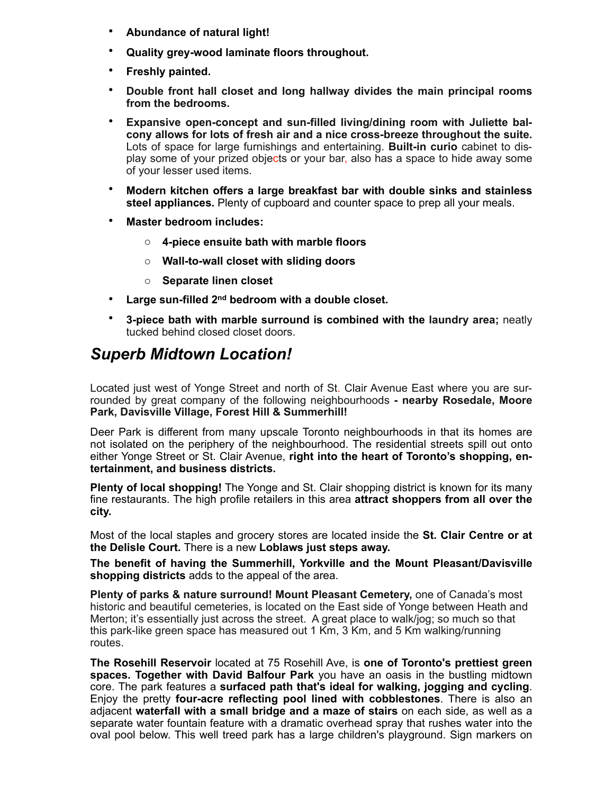- **Abundance of natural light!**
- **Quality grey-wood laminate floors throughout.**
- **Freshly painted.**
- **Double front hall closet and long hallway divides the main principal rooms from the bedrooms.**
- **Expansive open-concept and sun-filled living/dining room with Juliette balcony allows for lots of fresh air and a nice cross-breeze throughout the suite.**  Lots of space for large furnishings and entertaining. **Built-in curio** cabinet to display some of your prized objects or your bar, also has a space to hide away some of your lesser used items.
- **Modern kitchen offers a large breakfast bar with double sinks and stainless steel appliances.** Plenty of cupboard and counter space to prep all your meals.
- **Master bedroom includes:** 
	- o **4-piece ensuite bath with marble floors**
	- o **Wall-to-wall closet with sliding doors**
	- o **Separate linen closet**
- **Large sun-filled 2nd bedroom with a double closet.**
- **3-piece bath with marble surround is combined with the laundry area;** neatly tucked behind closed closet doors.

## *Superb Midtown Location!*

Located just west of Yonge Street and north of St. Clair Avenue East where you are surrounded by great company of the following neighbourhoods **- nearby Rosedale, Moore Park, Davisville Village, Forest Hill & Summerhill!** 

Deer Park is different from many upscale Toronto neighbourhoods in that its homes are not isolated on the periphery of the neighbourhood. The residential streets spill out onto either Yonge Street or St. Clair Avenue, **right into the heart of Toronto's shopping, entertainment, and business districts.**

**Plenty of local shopping!** The Yonge and St. Clair shopping district is known for its many fine restaurants. The high profile retailers in this area **attract shoppers from all over the city.** 

Most of the local staples and grocery stores are located inside the **St. Clair Centre or at the Delisle Court.** There is a new **Loblaws just steps away.** 

**The benefit of having the Summerhill, Yorkville and the Mount Pleasant/Davisville shopping districts** adds to the appeal of the area.

**Plenty of parks & nature surround! Mount Pleasant Cemetery,** one of Canada's most historic and beautiful cemeteries, is located on the East side of Yonge between Heath and Merton; it's essentially just across the street. A great place to walk/jog; so much so that this park-like green space has measured out 1 Km, 3 Km, and 5 Km walking/running routes.

**The Rosehill Reservoir** located at 75 Rosehill Ave, is **one of Toronto's prettiest green spaces. Together with David Balfour Park** you have an oasis in the bustling midtown core. The park features a **surfaced path that's ideal for walking, jogging and cycling**. Enjoy the pretty **four-acre reflecting pool lined with cobblestones**. There is also an adjacent **waterfall with a small bridge and a maze of stairs** on each side, as well as a separate water fountain feature with a dramatic overhead spray that rushes water into the oval pool below. This well treed park has a large children's playground. Sign markers on